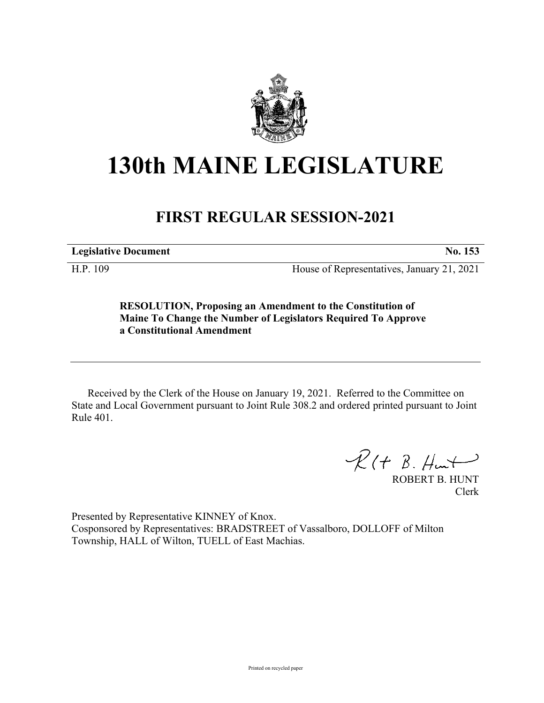

## **130th MAINE LEGISLATURE**

## **FIRST REGULAR SESSION-2021**

**Legislative Document No. 153**

H.P. 109 House of Representatives, January 21, 2021

**RESOLUTION, Proposing an Amendment to the Constitution of Maine To Change the Number of Legislators Required To Approve a Constitutional Amendment**

Received by the Clerk of the House on January 19, 2021. Referred to the Committee on State and Local Government pursuant to Joint Rule 308.2 and ordered printed pursuant to Joint Rule 401.

 $R(H B. H<sub>un</sub>)$ 

ROBERT B. HUNT Clerk

Presented by Representative KINNEY of Knox. Cosponsored by Representatives: BRADSTREET of Vassalboro, DOLLOFF of Milton Township, HALL of Wilton, TUELL of East Machias.